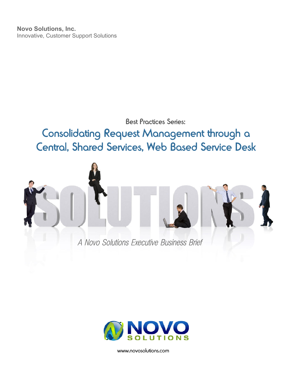**Novo Solutions, Inc.** Innovative, Customer Support Solutions

## **Best Proctices Series:**

Consolidating Request Management through a Central, Shared Services, Web Based Service Desk





www.novosolutions.com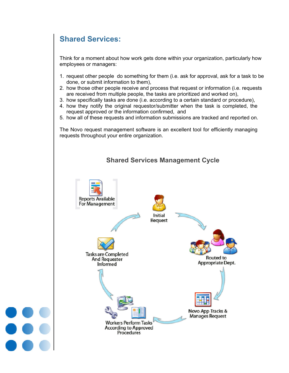# **Shared Services:**

Think for a moment about how work gets done within your organization, particularly how employees or managers:

- 1. request other people do something for them (i.e. ask for approval, ask for a task to be done, or submit information to them),
- 2. how those other people receive and process that request or information (i.e. requests are received from multiple people, the tasks are prioritized and worked on),
- 3. how specifically tasks are done (i.e. according to a certain standard or procedure),
- 4. how they notify the original requestor/submitter when the task is completed, the request approved or the information confirmed, and
- 5. how all of these requests and information submissions are tracked and reported on.

The Novo request management software is an excellent tool for efficiently managing requests throughout your entire organization.

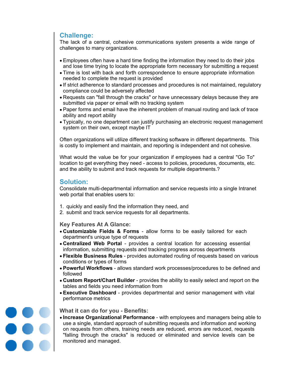### **Challenge:**

The lack of a central, cohesive communications system presents a wide range of challenges to many organizations.

- Employees often have a hard time finding the information they need to do their jobs and lose time trying to locate the appropriate form necessary for submitting a request
- Time is lost with back and forth correspondence to ensure appropriate information needed to complete the request is provided
- If strict adherence to standard processes and procedures is not maintained, regulatory compliance could be adversely affected
- Requests can "fall through the cracks" or have unnecessary delays because they are submitted via paper or email with no tracking system
- Paper forms and email have the inherent problem of manual routing and lack of trace ability and report ability
- Typically, no one department can justify purchasing an electronic request management system on their own, except maybe IT

Often organizations will utilize different tracking software in different departments. This is costly to implement and maintain, and reporting is independent and not cohesive.

What would the value be for your organization if employees had a central "Go To" location to get everything they need - access to policies, procedures, documents, etc. and the ability to submit and track requests for multiple departments.?

#### **Solution:**

Consolidate multi-departmental information and service requests into a single Intranet web portal that enables users to:

- 1. quickly and easily find the information they need, and
- 2. submit and track service requests for all departments.

**Key Features At A Glance:**

- **Customizable Fields & Forms** allow forms to be easily tailored for each department's unique type of requests
- **Centralized Web Portal** provides a central location for accessing essential information, submitting requests and tracking progress across departments
- **Flexible Business Rules** provides automated routing of requests based on various conditions or types of forms
- **Powerful Workflows** allows standard work processes/procedures to be defined and followed
- **Custom Report/Chart Builder** provides the ability to easily select and report on the tables and fields you need information from
- **Executive Dashboard** provides departmental and senior management with vital performance metrics

000<br>000<br>000

#### **What it can do for you - Benefits:**

**Increase Organizational Performance** - with employees and managers being able to use a single, standard approach of submitting requests and information and working on requests from others, training needs are reduced, errors are reduced, requests "falling through the cracks" is reduced or eliminated and service levels can be monitored and managed.